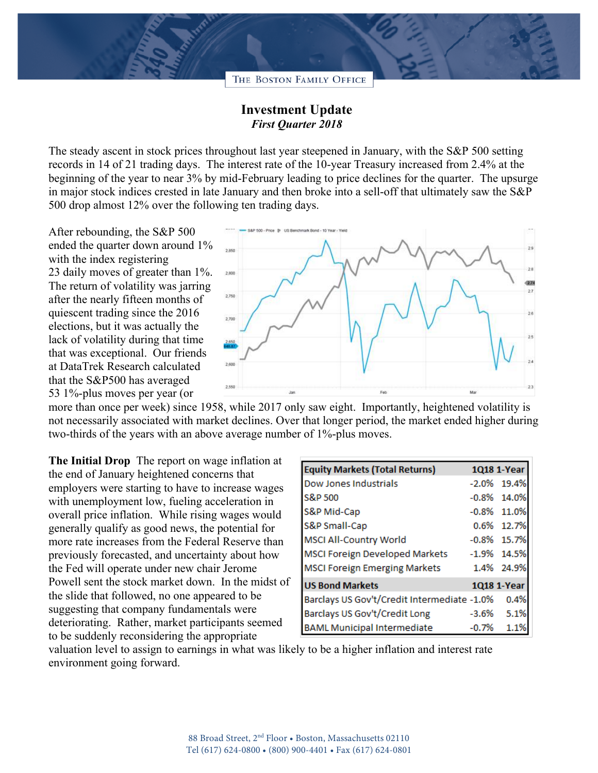THE BOSTON FAMILY OFFICE

## **Investment Update** *First Quarter 2018*

The steady ascent in stock prices throughout last year steepened in January, with the S&P 500 setting records in 14 of 21 trading days. The interest rate of the 10-year Treasury increased from 2.4% at the beginning of the year to near 3% by mid-February leading to price declines for the quarter. The upsurge in major stock indices crested in late January and then broke into a sell-off that ultimately saw the S&P 500 drop almost 12% over the following ten trading days.

After rebounding, the S&P 500 ended the quarter down around 1% with the index registering 23 daily moves of greater than 1%. The return of volatility was jarring after the nearly fifteen months of quiescent trading since the 2016 elections, but it was actually the lack of volatility during that time that was exceptional. Our friends at DataTrek Research calculated that the S&P500 has averaged 53 1%-plus moves per year (or



more than once per week) since 1958, while 2017 only saw eight. Importantly, heightened volatility is not necessarily associated with market declines. Over that longer period, the market ended higher during two-thirds of the years with an above average number of 1%-plus moves.

**The Initial Drop** The report on wage inflation at the end of January heightened concerns that employers were starting to have to increase wages with unemployment low, fueling acceleration in overall price inflation. While rising wages would generally qualify as good news, the potential for more rate increases from the Federal Reserve than previously forecasted, and uncertainty about how the Fed will operate under new chair Jerome Powell sent the stock market down. In the midst of the slide that followed, no one appeared to be suggesting that company fundamentals were deteriorating. Rather, market participants seemed to be suddenly reconsidering the appropriate

| <b>Equity Markets (Total Returns)</b>       |         | 1Q18 1-Year    |
|---------------------------------------------|---------|----------------|
| Dow Jones Industrials                       |         | $-2.0\%$ 19.4% |
| S&P 500                                     |         | $-0.8\%$ 14.0% |
| S&P Mid-Cap                                 |         | $-0.8\%$ 11.0% |
| S&P Small-Cap                               |         | 0.6% 12.7%     |
| <b>MSCI All-Country World</b>               |         | $-0.8\%$ 15.7% |
| <b>MSCI Foreign Developed Markets</b>       |         | $-1.9\%$ 14.5% |
| <b>MSCI Foreign Emerging Markets</b>        |         | 1.4% 24.9%     |
| <b>US Bond Markets</b>                      |         | 1Q18 1-Year    |
| Barclays US Gov't/Credit Intermediate -1.0% |         | 0.4%           |
| Barclays US Gov't/Credit Long               | $-3.6%$ | 5.1%           |
| <b>BAML Municipal Intermediate</b>          | $-0.7%$ | 1.1%           |

valuation level to assign to earnings in what was likely to be a higher inflation and interest rate environment going forward.